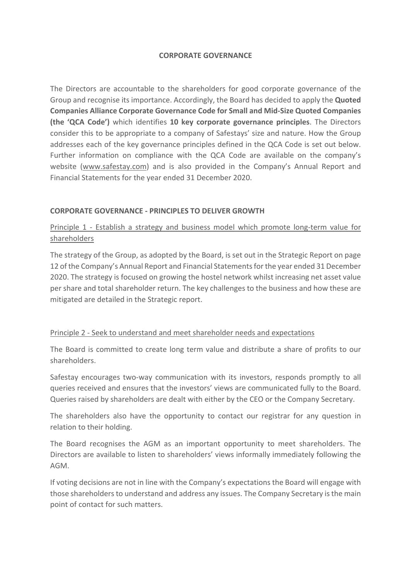#### **CORPORATE GOVERNANCE**

The Directors are accountable to the shareholders for good corporate governance of the Group and recognise its importance. Accordingly, the Board has decided to apply the **Quoted Companies Alliance Corporate Governance Code for Small and Mid-Size Quoted Companies (the 'QCA Code')** which identifies **10 key corporate governance principles**. The Directors consider this to be appropriate to a company of Safestays' size and nature. How the Group addresses each of the key governance principles defined in the QCA Code is set out below. Further information on compliance with the QCA Code are available on the company's website (www.safestay.com) and is also provided in the Company's Annual Report and Financial Statements for the year ended 31 December 2020.

### **CORPORATE GOVERNANCE - PRINCIPLES TO DELIVER GROWTH**

Principle 1 - Establish a strategy and business model which promote long-term value for shareholders

The strategy of the Group, as adopted by the Board, is set out in the Strategic Report on page 12 of the Company's Annual Report and Financial Statements for the year ended 31 December 2020. The strategy is focused on growing the hostel network whilst increasing net asset value per share and total shareholder return. The key challenges to the business and how these are mitigated are detailed in the Strategic report.

#### Principle 2 - Seek to understand and meet shareholder needs and expectations

The Board is committed to create long term value and distribute a share of profits to our shareholders.

Safestay encourages two-way communication with its investors, responds promptly to all queries received and ensures that the investors' views are communicated fully to the Board. Queries raised by shareholders are dealt with either by the CEO or the Company Secretary.

The shareholders also have the opportunity to contact our registrar for any question in relation to their holding.

The Board recognises the AGM as an important opportunity to meet shareholders. The Directors are available to listen to shareholders' views informally immediately following the AGM.

If voting decisions are not in line with the Company's expectations the Board will engage with those shareholders to understand and address any issues. The Company Secretary is the main point of contact for such matters.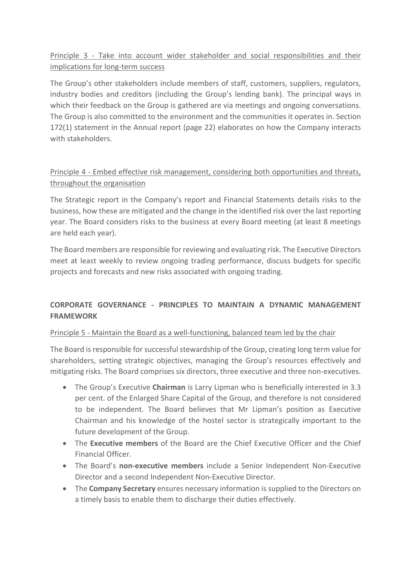Principle 3 - Take into account wider stakeholder and social responsibilities and their implications for long-term success

The Group's other stakeholders include members of staff, customers, suppliers, regulators, industry bodies and creditors (including the Group's lending bank). The principal ways in which their feedback on the Group is gathered are via meetings and ongoing conversations. The Group is also committed to the environment and the communities it operates in. Section 172(1) statement in the Annual report (page 22) elaborates on how the Company interacts with stakeholders.

# Principle 4 - Embed effective risk management, considering both opportunities and threats, throughout the organisation

The Strategic report in the Company's report and Financial Statements details risks to the business, how these are mitigated and the change in the identified risk over the last reporting year. The Board considers risks to the business at every Board meeting (at least 8 meetings are held each year).

The Board members are responsible for reviewing and evaluating risk. The Executive Directors meet at least weekly to review ongoing trading performance, discuss budgets for specific projects and forecasts and new risks associated with ongoing trading.

## **CORPORATE GOVERNANCE - PRINCIPLES TO MAINTAIN A DYNAMIC MANAGEMENT FRAMEWORK**

### Principle 5 - Maintain the Board as a well-functioning, balanced team led by the chair

The Board is responsible for successful stewardship of the Group, creating long term value for shareholders, setting strategic objectives, managing the Group's resources effectively and mitigating risks. The Board comprises six directors, three executive and three non-executives.

- The Group's Executive **Chairman** is Larry Lipman who is beneficially interested in 3.3 per cent. of the Enlarged Share Capital of the Group, and therefore is not considered to be independent. The Board believes that Mr Lipman's position as Executive Chairman and his knowledge of the hostel sector is strategically important to the future development of the Group.
- The **Executive members** of the Board are the Chief Executive Officer and the Chief Financial Officer.
- The Board's **non-executive members** include a Senior Independent Non-Executive Director and a second Independent Non-Executive Director.
- The **Company Secretary** ensures necessary information is supplied to the Directors on a timely basis to enable them to discharge their duties effectively.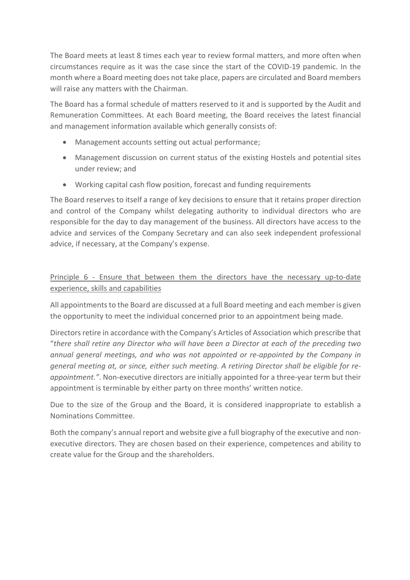The Board meets at least 8 times each year to review formal matters, and more often when circumstances require as it was the case since the start of the COVID-19 pandemic. In the month where a Board meeting does not take place, papers are circulated and Board members will raise any matters with the Chairman.

The Board has a formal schedule of matters reserved to it and is supported by the Audit and Remuneration Committees. At each Board meeting, the Board receives the latest financial and management information available which generally consists of:

- Management accounts setting out actual performance;
- Management discussion on current status of the existing Hostels and potential sites under review; and
- Working capital cash flow position, forecast and funding requirements

The Board reserves to itself a range of key decisions to ensure that it retains proper direction and control of the Company whilst delegating authority to individual directors who are responsible for the day to day management of the business. All directors have access to the advice and services of the Company Secretary and can also seek independent professional advice, if necessary, at the Company's expense.

## Principle 6 - Ensure that between them the directors have the necessary up-to-date experience, skills and capabilities

All appointments to the Board are discussed at a full Board meeting and each member is given the opportunity to meet the individual concerned prior to an appointment being made.

Directors retire in accordance with the Company's Articles of Association which prescribe that "*there shall retire any Director who will have been a Director at each of the preceding two annual general meetings, and who was not appointed or re-appointed by the Company in general meeting at, or since, either such meeting. A retiring Director shall be eligible for reappointment."*. Non-executive directors are initially appointed for a three-year term but their appointment is terminable by either party on three months' written notice.

Due to the size of the Group and the Board, it is considered inappropriate to establish a Nominations Committee.

Both the company's annual report and website give a full biography of the executive and nonexecutive directors. They are chosen based on their experience, competences and ability to create value for the Group and the shareholders.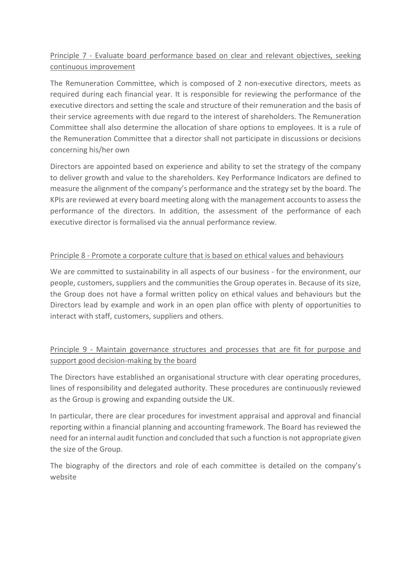# Principle 7 - Evaluate board performance based on clear and relevant objectives, seeking continuous improvement

The Remuneration Committee, which is composed of 2 non-executive directors, meets as required during each financial year. It is responsible for reviewing the performance of the executive directors and setting the scale and structure of their remuneration and the basis of their service agreements with due regard to the interest of shareholders. The Remuneration Committee shall also determine the allocation of share options to employees. It is a rule of the Remuneration Committee that a director shall not participate in discussions or decisions concerning his/her own

Directors are appointed based on experience and ability to set the strategy of the company to deliver growth and value to the shareholders. Key Performance Indicators are defined to measure the alignment of the company's performance and the strategy set by the board. The KPIs are reviewed at every board meeting along with the management accounts to assess the performance of the directors. In addition, the assessment of the performance of each executive director is formalised via the annual performance review.

## Principle 8 - Promote a corporate culture that is based on ethical values and behaviours

We are committed to sustainability in all aspects of our business - for the environment, our people, customers, suppliers and the communities the Group operates in. Because of its size, the Group does not have a formal written policy on ethical values and behaviours but the Directors lead by example and work in an open plan office with plenty of opportunities to interact with staff, customers, suppliers and others.

# Principle 9 - Maintain governance structures and processes that are fit for purpose and support good decision-making by the board

The Directors have established an organisational structure with clear operating procedures, lines of responsibility and delegated authority. These procedures are continuously reviewed as the Group is growing and expanding outside the UK.

In particular, there are clear procedures for investment appraisal and approval and financial reporting within a financial planning and accounting framework. The Board has reviewed the need for an internal audit function and concluded that such a function is not appropriate given the size of the Group.

The biography of the directors and role of each committee is detailed on the company's website